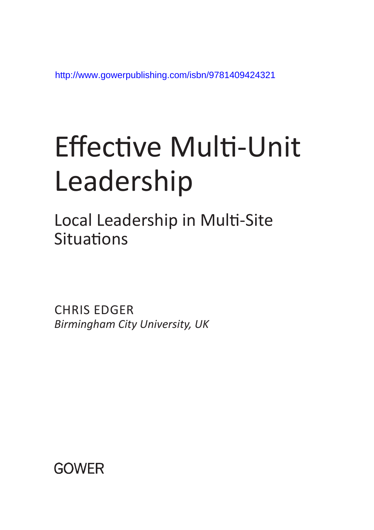http://www.gowerpublishing.com/isbn/9781409424321

# [Effective Multi-Unit](http://www.gowerpublishing.com/isbn/9781409424321)  Leadership

Local Leadership in Multi-Site **Situations** 

CHRIS EDGER *Birmingham City University, UK*

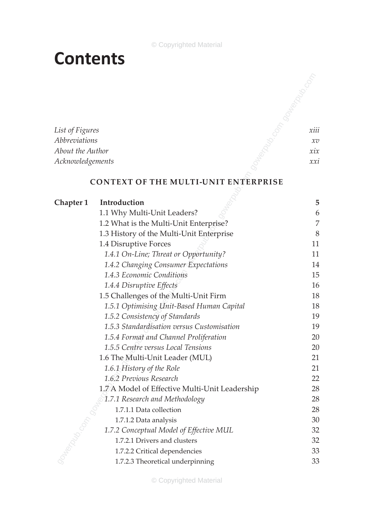## **Contents**

## **Context of the Multi-Unit Enterprise**

| List of Figures      |                                                | xiii     |
|----------------------|------------------------------------------------|----------|
| <b>Abbreviations</b> |                                                | $\chi v$ |
| About the Author     |                                                | xix      |
| Acknowledgements     |                                                | xxi      |
|                      | <b>CONTEXT OF THE MULTI-UNIT ENTERPRISE</b>    |          |
| <b>Chapter 1</b>     | Introduction                                   | 5        |
|                      | 1.1 Why Multi-Unit Leaders?                    | 6        |
|                      | 1.2 What is the Multi-Unit Enterprise?         | 7        |
|                      | 1.3 History of the Multi-Unit Enterprise       | 8        |
|                      | 1.4 Disruptive Forces                          | 11       |
|                      | 1.4.1 On-Line; Threat or Opportunity?          | 11       |
|                      | 1.4.2 Changing Consumer Expectations           | 14       |
|                      | 1.4.3 Economic Conditions                      | 15       |
|                      | 1.4.4 Disruptive Effects                       | 16       |
|                      | 1.5 Challenges of the Multi-Unit Firm          | 18       |
|                      | 1.5.1 Optimising Unit-Based Human Capital      | 18       |
|                      | 1.5.2 Consistency of Standards                 | 19       |
|                      | 1.5.3 Standardisation versus Customisation     | 19       |
|                      | 1.5.4 Format and Channel Proliferation         | 20       |
|                      | 1.5.5 Centre versus Local Tensions             | 20       |
|                      | 1.6 The Multi-Unit Leader (MUL)                | 21       |
|                      | 1.6.1 History of the Role                      | 21       |
|                      | 1.6.2 Previous Research                        | 22       |
|                      | 1.7 A Model of Effective Multi-Unit Leadership | 28       |
|                      | 1.7.1 Research and Methodology                 | 28       |
|                      | 1.7.1.1 Data collection                        | 28       |
|                      | 1.7.1.2 Data analysis                          | 30       |
|                      | 1.7.2 Conceptual Model of Effective MUL        | 32       |
|                      | 1.7.2.1 Drivers and clusters                   | 32       |
|                      | 1.7.2.2 Critical dependencies                  | 33       |
|                      | 1.7.2.3 Theoretical underpinning               | 33       |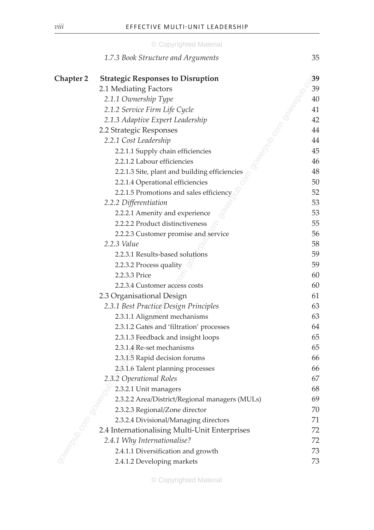|                  | © Copyrighted Material                         |    |
|------------------|------------------------------------------------|----|
|                  | 1.7.3 Book Structure and Arguments             | 35 |
| <b>Chapter 2</b> | <b>Strategic Responses to Disruption</b>       | 39 |
|                  | 2.1 Mediating Factors                          | 39 |
|                  | 2.1.1 Ownership Type                           | 40 |
|                  | 2.1.2 Service Firm Life Cycle                  | 41 |
|                  | 2.1.3 Adaptive Expert Leadership               | 42 |
|                  | 2.2 Strategic Responses                        | 44 |
|                  | 2.2.1 Cost Leadership                          | 44 |
|                  | 2.2.1.1 Supply chain efficiencies              | 45 |
|                  | 2.2.1.2 Labour efficiencies                    | 46 |
|                  | 2.2.1.3 Site, plant and building efficiencies  | 48 |
|                  | 2.2.1.4 Operational efficiencies               | 50 |
|                  | 2.2.1.5 Promotions and sales efficiency        | 52 |
|                  | 2.2.2 Differentiation                          | 53 |
|                  | 2.2.2.1 Amenity and experience                 | 53 |
|                  | 2.2.2.2 Product distinctiveness                | 55 |
|                  | 2.2.2.3 Customer promise and service           | 56 |
|                  | 2.2.3 Value                                    | 58 |
|                  | 2.2.3.1 Results-based solutions                | 59 |
|                  | 2.2.3.2 Process quality                        | 59 |
|                  | 2.2.3.3 Price                                  | 60 |
|                  | 2.2.3.4 Customer access costs                  | 60 |
|                  | 2.3 Organisational Design                      | 61 |
|                  | 2.3.1 Best Practice Design Principles          | 63 |
|                  | 2.3.1.1 Alignment mechanisms                   | 63 |
|                  | 2.3.1.2 Gates and 'filtration' processes       | 64 |
|                  | 2.3.1.3 Feedback and insight loops             | 65 |
|                  | 2.3.1.4 Re-set mechanisms                      | 65 |
|                  | 2.3.1.5 Rapid decision forums                  | 66 |
|                  | 2.3.1.6 Talent planning processes              | 66 |
|                  | 2.3.2 Operational Roles                        | 67 |
|                  | 2.3.2.1 Unit managers                          | 68 |
|                  | 2.3.2.2 Area/District/Regional managers (MULs) | 69 |
|                  | 2.3.2.3 Regional/Zone director                 | 70 |
|                  | 2.3.2.4 Divisional/Managing directors          | 71 |
|                  | 2.4 Internationalising Multi-Unit Enterprises  | 72 |
|                  | 2.4.1 Why Internationalise?                    | 72 |
|                  | 2.4.1.1 Diversification and growth             | 73 |
|                  | 2.4.1.2 Developing markets                     | 73 |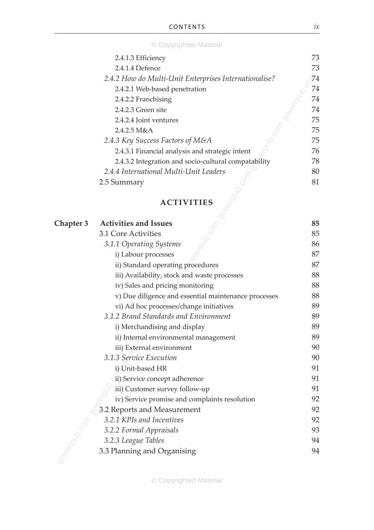| © Copyrighted Material |  |  |  |  |  |  |  |
|------------------------|--|--|--|--|--|--|--|

| 2.4.1.3 Efficiency                                    | 73  |
|-------------------------------------------------------|-----|
| 2.4.1.4 Defence                                       | 73  |
| 2.4.2 How do Multi-Unit Enterprises Internationalise? | 74  |
| 2.4.2.1 Web-based penetration                         | 74  |
| 2.4.2.2 Franchising                                   | 74  |
| 2.4.2.3 Green site                                    | 74  |
| 2.4.2.4 Joint ventures                                | 75  |
| 2.4.2.5 M&A                                           | 75. |
| 2.4.3 Key Success Factors of M&A                      | 75  |
| 2.4.3.1 Financial analysis and strategic intent       | 76  |
| 2.4.3.2 Integration and socio-cultural compatability  | 78  |
| 2.4.4 International Multi-Unit Leaders                | 80  |
| 2.5 Summary                                           | 81  |
|                                                       |     |

## **Activities**

|           | 2.4.2 How do Multi-Unit Enterprises Internationalise? | 74 |
|-----------|-------------------------------------------------------|----|
|           | 2.4.2.1 Web-based penetration                         | 74 |
|           | 2.4.2.2 Franchising                                   | 74 |
|           | 2.4.2.3 Green site                                    | 74 |
|           | 2.4.2.4 Joint ventures                                | 75 |
|           | 2.4.2.5 M&A                                           | 75 |
|           | 2.4.3 Key Success Factors of M&A                      | 75 |
|           | 2.4.3.1 Financial analysis and strategic intent       | 76 |
|           | 2.4.3.2 Integration and socio-cultural compatability  | 78 |
|           | 2.4.4 International Multi-Unit Leaders                | 80 |
|           | 2.5 Summary                                           | 81 |
|           |                                                       |    |
|           | <b>ACTIVITIES</b>                                     |    |
|           |                                                       |    |
| Chapter 3 | <b>Activities and Issues</b>                          | 85 |
|           | 3.1 Core Activities                                   | 85 |
|           | 3.1.1 Operating Systems                               | 86 |
|           | i) Labour processes                                   | 87 |
|           | ii) Standard operating procedures                     | 87 |
|           | iii) Availability, stock and waste processes          | 88 |
|           | iv) Sales and pricing monitoring                      | 88 |
|           | v) Due diligence and essential maintenance processes  | 88 |
|           | vi) Ad hoc processes/change initiatives               | 89 |
|           | 3.1.2 Brand Standards and Environment                 | 89 |
|           | i) Merchandising and display                          | 89 |
|           | ii) Internal environmental management                 | 89 |
|           | iii) External environment                             | 90 |
|           | 3.1.3 Service Execution                               | 90 |
|           | i) Unit-based HR                                      | 91 |
|           | ii) Service concept adherence                         | 91 |
|           | iii) Customer survey follow-up                        | 91 |
|           | iv) Service promise and complaints resolution         | 92 |
|           | 3.2 Reports and Measurement                           | 92 |
|           | 3.2.1 KPIs and Incentives                             | 92 |
|           | 3.2.2 Formal Appraisals                               | 93 |
|           | 3.2.3 League Tables                                   | 94 |
|           | 3.3 Planning and Organising                           | 94 |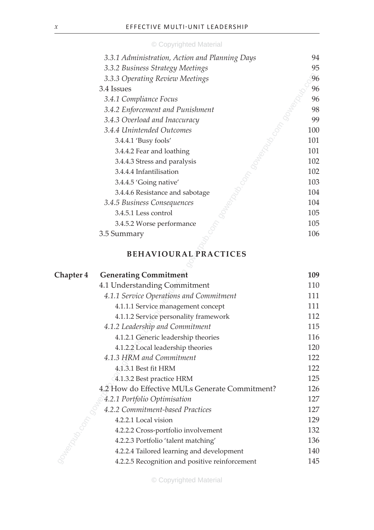| 3.3.1 Administration, Action and Planning Days | 94  |
|------------------------------------------------|-----|
| 3.3.2 Business Strategy Meetings               | 95  |
| 3.3.3 Operating Review Meetings                | 96  |
| 3.4 Issues                                     | 96  |
| 3.4.1 Compliance Focus                         | 96  |
| 3.4.2 Enforcement and Punishment               | 98  |
| 3.4.3 Overload and Inaccuracy                  | 99  |
| 3.4.4 Unintended Outcomes                      | 100 |
| $3.4.4.1$ 'Busy fools'                         | 101 |
| 3.4.4.2 Fear and loathing                      | 101 |
| 3.4.4.3 Stress and paralysis                   | 102 |
| 3.4.4.4 Infantilisation                        | 102 |
| 3.4.4.5 'Going native'                         | 103 |
| 3.4.4.6 Resistance and sabotage                | 104 |
| 3.4.5 Business Consequences                    | 104 |
| 3.4.5.1 Less control                           | 105 |
| 3.4.5.2 Worse performance                      | 105 |
| 3.5 Summary                                    | 106 |
|                                                |     |

## **Behavioural Practices**

| 3.3.3 Operating Review Meetings                  | 96  |
|--------------------------------------------------|-----|
| 3.4 Issues                                       | 96  |
| 3.4.1 Compliance Focus                           | 96  |
| 3.4.2 Enforcement and Punishment                 | 98  |
| 3.4.3 Overload and Inaccuracy                    | 99  |
| 3.4.4 Unintended Outcomes                        | 100 |
| 3.4.4.1 'Busy fools'                             | 101 |
| 3.4.4.2 Fear and loathing                        | 101 |
| 3.4.4.3 Stress and paralysis                     | 102 |
| 3.4.4.4 Infantilisation                          | 102 |
| 3.4.4.5 'Going native'                           | 103 |
| 3.4.4.6 Resistance and sabotage                  | 104 |
| 3.4.5 Business Consequences                      | 104 |
| 3.4.5.1 Less control                             | 105 |
| 3.4.5.2 Worse performance                        | 105 |
| 3.5 Summary                                      | 106 |
| <b>BEHAVIOURAL PRACTICES</b>                     |     |
|                                                  |     |
| <b>Generating Commitment</b><br><b>Chapter 4</b> | 109 |
| 4.1 Understanding Commitment                     | 110 |
| 4.1.1 Service Operations and Commitment          | 111 |
| 4.1.1.1 Service management concept               | 111 |
| 4.1.1.2 Service personality framework            | 112 |
| 4.1.2 Leadership and Commitment                  | 115 |
| 4.1.2.1 Generic leadership theories              | 116 |
| 4.1.2.2 Local leadership theories                | 120 |
| 4.1.3 HRM and Commitment                         | 122 |
| 4.1.3.1 Best fit HRM                             | 122 |
| 4.1.3.2 Best practice HRM                        | 125 |
| 4.2 How do Effective MULs Generate Commitment?   | 126 |
| 4.2.1 Portfolio Optimisation                     | 127 |
| 4.2.2 Commitment-based Practices                 | 127 |
| 4.2.2.1 Local vision                             | 129 |
| 4.2.2.2 Cross-portfolio involvement              | 132 |
| 4.2.2.3 Portfolio 'talent matching'              | 136 |
| 4.2.2.4 Tailored learning and development        | 140 |
| 4.2.2.5 Recognition and positive reinforcement   | 145 |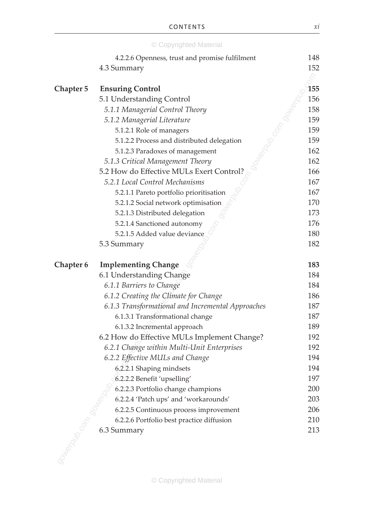|                  | © Copyrighted Material                            |            |
|------------------|---------------------------------------------------|------------|
|                  | 4.2.2.6 Openness, trust and promise fulfilment    | 148        |
|                  | 4.3 Summary                                       | 152        |
|                  |                                                   |            |
| <b>Chapter 5</b> | <b>Ensuring Control</b>                           | 155        |
|                  | 5.1 Understanding Control                         | 156        |
|                  | 5.1.1 Managerial Control Theory                   | 158        |
|                  | 5.1.2 Managerial Literature                       | 159        |
|                  | 5.1.2.1 Role of managers                          | 159        |
|                  | 5.1.2.2 Process and distributed delegation        | 159        |
|                  | 5.1.2.3 Paradoxes of management                   | 162        |
|                  | 5.1.3 Critical Management Theory                  | 162        |
|                  | 5.2 How do Effective MULs Exert Control?          | 166        |
|                  | 5.2.1 Local Control Mechanisms                    | 167        |
|                  | 5.2.1.1 Pareto portfolio prioritisation           | 167        |
|                  | 5.2.1.2 Social network optimisation               | 170        |
|                  | 5.2.1.3 Distributed delegation                    | 173        |
|                  | 5.2.1.4 Sanctioned autonomy                       | 176        |
|                  | 5.2.1.5 Added value deviance                      | 180        |
|                  | 5.3 Summary                                       | 182        |
|                  |                                                   |            |
| <b>Chapter 6</b> | <b>Implementing Change</b>                        | 183        |
|                  | 6.1 Understanding Change                          | 184        |
|                  | 6.1.1 Barriers to Change                          | 184        |
|                  | 6.1.2 Creating the Climate for Change             | 186        |
|                  | 6.1.3 Transformational and Incremental Approaches | 187        |
|                  | 6.1.3.1 Transformational change                   | 187        |
|                  | 6.1.3.2 Incremental approach                      | 189        |
|                  | 6.2 How do Effective MULs Implement Change?       | 192        |
|                  | 6.2.1 Change within Multi-Unit Enterprises        | 192<br>194 |
|                  | 6.2.2 Effective MULs and Change                   |            |
|                  | 6.2.2.1 Shaping mindsets                          | 194        |
|                  | 6.2.2.2 Benefit 'upselling'                       | 197<br>200 |
|                  | 6.2.2.3 Portfolio change champions                |            |
|                  | 6.2.2.4 'Patch ups' and 'workarounds'             | 203        |
|                  | 6.2.2.5 Continuous process improvement            | 206        |
|                  | 6.2.2.6 Portfolio best practice diffusion         | 210        |
|                  | 6.3 Summary                                       | 213        |
|                  |                                                   |            |
|                  |                                                   |            |
|                  |                                                   |            |